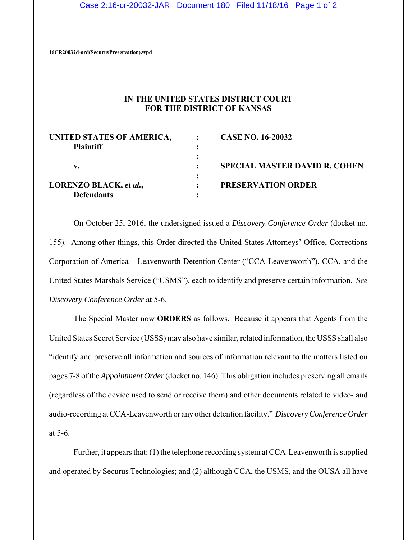## Case 2:16-cr-20032-JAR Document 180 Filed 11/18/16 Page 1 of 2

**16CR20032d-ord(SecurusPreservation).wpd**

## **IN THE UNITED STATES DISTRICT COURT FOR THE DISTRICT OF KANSAS**

| UNITED STATES OF AMERICA,<br><b>Plaintiff</b> |   | <b>CASE NO. 16-20032</b>             |
|-----------------------------------------------|---|--------------------------------------|
| v.                                            | ٠ | <b>SPECIAL MASTER DAVID R. COHEN</b> |
| LORENZO BLACK, et al.,<br><b>Defendants</b>   |   | <b>PRESERVATION ORDER</b>            |

On October 25, 2016, the undersigned issued a *Discovery Conference Order* (docket no. 155). Among other things, this Order directed the United States Attorneys' Office, Corrections Corporation of America – Leavenworth Detention Center ("CCA-Leavenworth"), CCA, and the United States Marshals Service ("USMS"), each to identify and preserve certain information. *See Discovery Conference Order* at 5-6.

The Special Master now **ORDERS** as follows. Because it appears that Agents from the United States Secret Service (USSS) may also have similar, related information, the USSS shall also "identify and preserve all information and sources of information relevant to the matters listed on pages 7-8 of the *Appointment Order* (docket no. 146). This obligation includes preserving all emails (regardless of the device used to send or receive them) and other documents related to video- and audio-recording at CCA-Leavenworth or any other detention facility." *Discovery Conference Order* at 5-6.

Further, it appears that: (1) the telephone recording system at CCA-Leavenworth is supplied and operated by Securus Technologies; and (2) although CCA, the USMS, and the OUSA all have